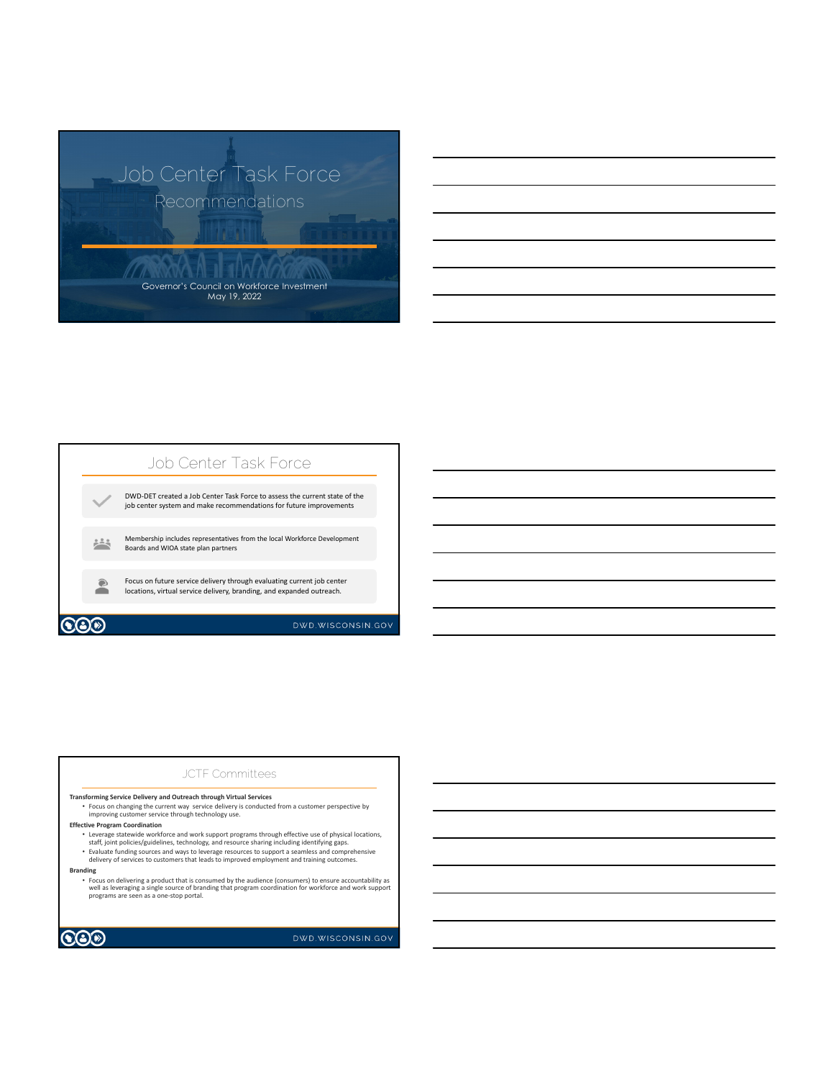



## JCTF Committees

#### **Transforming Service Delivery and Outreach through Virtual Services**

• Focus on changing the current way service delivery is conducted from a customer perspective by improving customer service through technology use.

### **Effective Program Coordination**

- 
- Leverage statewide workforce and work support programs through effective use of physical locations,<br>staff, joint policies/guidelines, technology, and resource sharing including identifying gaps.<br>• Evaluate funding source
- **Branding**
	- Focus on delivering a product that is consumed by the audience (consumers) to ensure accountability as<br>well as leveraging a single source of branding that program coordination for workforce and work support<br>programs are



DWD.WISCONSIN.GOV